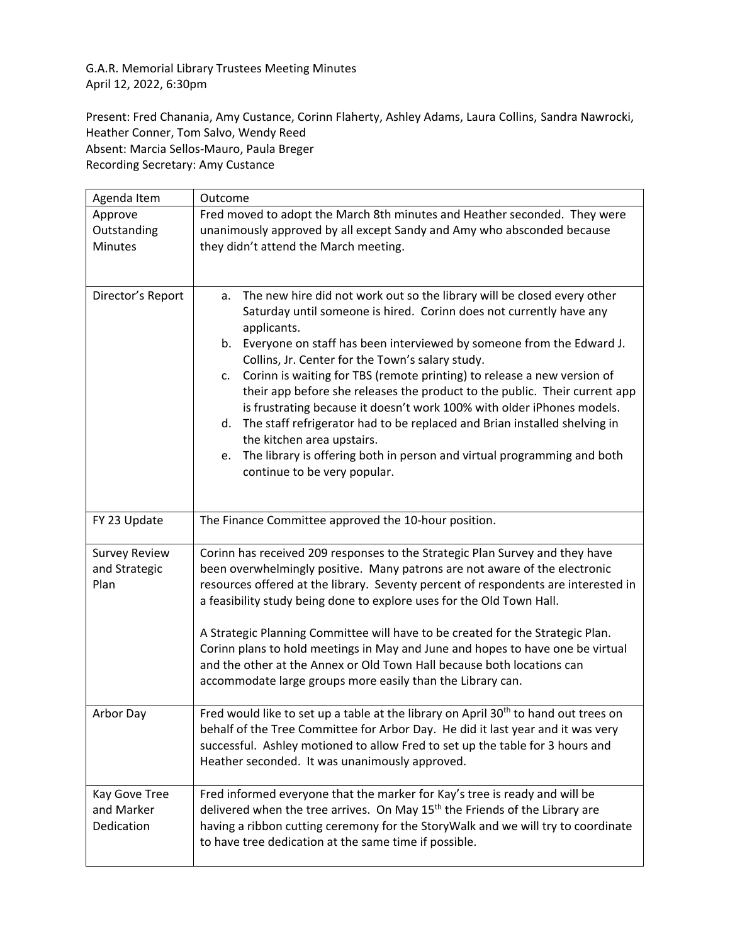G.A.R. Memorial Library Trustees Meeting Minutes April 12, 2022, 6:30pm

Present: Fred Chanania, Amy Custance, Corinn Flaherty, Ashley Adams, Laura Collins, Sandra Nawrocki, Heather Conner, Tom Salvo, Wendy Reed Absent: Marcia Sellos-Mauro, Paula Breger Recording Secretary: Amy Custance

| Agenda Item          | Outcome                                                                                                                                                                                                                                                                                                                                                                                                                                                                                                                                                                                                                                                                                                                                                                       |
|----------------------|-------------------------------------------------------------------------------------------------------------------------------------------------------------------------------------------------------------------------------------------------------------------------------------------------------------------------------------------------------------------------------------------------------------------------------------------------------------------------------------------------------------------------------------------------------------------------------------------------------------------------------------------------------------------------------------------------------------------------------------------------------------------------------|
| Approve              | Fred moved to adopt the March 8th minutes and Heather seconded. They were                                                                                                                                                                                                                                                                                                                                                                                                                                                                                                                                                                                                                                                                                                     |
| Outstanding          | unanimously approved by all except Sandy and Amy who absconded because                                                                                                                                                                                                                                                                                                                                                                                                                                                                                                                                                                                                                                                                                                        |
| <b>Minutes</b>       | they didn't attend the March meeting.                                                                                                                                                                                                                                                                                                                                                                                                                                                                                                                                                                                                                                                                                                                                         |
|                      |                                                                                                                                                                                                                                                                                                                                                                                                                                                                                                                                                                                                                                                                                                                                                                               |
|                      |                                                                                                                                                                                                                                                                                                                                                                                                                                                                                                                                                                                                                                                                                                                                                                               |
| Director's Report    | The new hire did not work out so the library will be closed every other<br>a.<br>Saturday until someone is hired. Corinn does not currently have any<br>applicants.<br>b. Everyone on staff has been interviewed by someone from the Edward J.<br>Collins, Jr. Center for the Town's salary study.<br>Corinn is waiting for TBS (remote printing) to release a new version of<br>c.<br>their app before she releases the product to the public. Their current app<br>is frustrating because it doesn't work 100% with older iPhones models.<br>The staff refrigerator had to be replaced and Brian installed shelving in<br>d.<br>the kitchen area upstairs.<br>The library is offering both in person and virtual programming and both<br>e.<br>continue to be very popular. |
|                      |                                                                                                                                                                                                                                                                                                                                                                                                                                                                                                                                                                                                                                                                                                                                                                               |
| FY 23 Update         | The Finance Committee approved the 10-hour position.                                                                                                                                                                                                                                                                                                                                                                                                                                                                                                                                                                                                                                                                                                                          |
| <b>Survey Review</b> | Corinn has received 209 responses to the Strategic Plan Survey and they have                                                                                                                                                                                                                                                                                                                                                                                                                                                                                                                                                                                                                                                                                                  |
| and Strategic        | been overwhelmingly positive. Many patrons are not aware of the electronic                                                                                                                                                                                                                                                                                                                                                                                                                                                                                                                                                                                                                                                                                                    |
| Plan                 | resources offered at the library. Seventy percent of respondents are interested in<br>a feasibility study being done to explore uses for the Old Town Hall.                                                                                                                                                                                                                                                                                                                                                                                                                                                                                                                                                                                                                   |
|                      |                                                                                                                                                                                                                                                                                                                                                                                                                                                                                                                                                                                                                                                                                                                                                                               |
|                      | A Strategic Planning Committee will have to be created for the Strategic Plan.<br>Corinn plans to hold meetings in May and June and hopes to have one be virtual<br>and the other at the Annex or Old Town Hall because both locations can<br>accommodate large groups more easily than the Library can.                                                                                                                                                                                                                                                                                                                                                                                                                                                                      |
| Arbor Day            | Fred would like to set up a table at the library on April 30 <sup>th</sup> to hand out trees on<br>behalf of the Tree Committee for Arbor Day. He did it last year and it was very                                                                                                                                                                                                                                                                                                                                                                                                                                                                                                                                                                                            |
|                      | successful. Ashley motioned to allow Fred to set up the table for 3 hours and<br>Heather seconded. It was unanimously approved.                                                                                                                                                                                                                                                                                                                                                                                                                                                                                                                                                                                                                                               |
| Kay Gove Tree        | Fred informed everyone that the marker for Kay's tree is ready and will be                                                                                                                                                                                                                                                                                                                                                                                                                                                                                                                                                                                                                                                                                                    |
| and Marker           | delivered when the tree arrives. On May 15 <sup>th</sup> the Friends of the Library are                                                                                                                                                                                                                                                                                                                                                                                                                                                                                                                                                                                                                                                                                       |
| Dedication           | having a ribbon cutting ceremony for the StoryWalk and we will try to coordinate<br>to have tree dedication at the same time if possible.                                                                                                                                                                                                                                                                                                                                                                                                                                                                                                                                                                                                                                     |